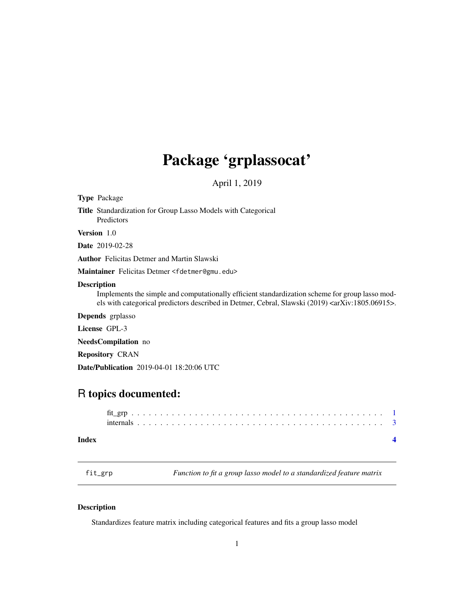## <span id="page-0-0"></span>Package 'grplassocat'

April 1, 2019

| <b>Type Package</b>                                                                                                                                                                                                                         |
|---------------------------------------------------------------------------------------------------------------------------------------------------------------------------------------------------------------------------------------------|
| <b>Title</b> Standardization for Group Lasso Models with Categorical<br>Predictors                                                                                                                                                          |
| <b>Version</b> 1.0                                                                                                                                                                                                                          |
| <b>Date</b> 2019-02-28                                                                                                                                                                                                                      |
| <b>Author</b> Felicitas Detmer and Martin Slawski                                                                                                                                                                                           |
| Maintainer Felicitas Detmer <fdetmer@gmu.edu></fdetmer@gmu.edu>                                                                                                                                                                             |
| <b>Description</b><br>Implements the simple and computationally efficient standardization scheme for group lasso mod-<br>els with categorical predictors described in Detmer, Cebral, Slawski (2019) <arxiv:1805.06915>.</arxiv:1805.06915> |
| <b>Depends</b> grplasso                                                                                                                                                                                                                     |
| License GPL-3                                                                                                                                                                                                                               |
| <b>NeedsCompilation</b> no                                                                                                                                                                                                                  |
| <b>Repository CRAN</b>                                                                                                                                                                                                                      |
| <b>Date/Publication</b> 2019-04-01 18:20:06 UTC                                                                                                                                                                                             |

### R topics documented:

fit\_grp *Function to fit a group lasso model to a standardized feature matrix*

### Description

Standardizes feature matrix including categorical features and fits a group lasso model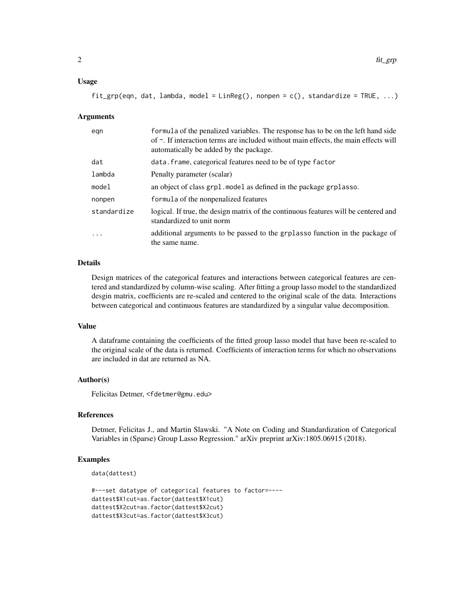#### Usage

```
fit\_grp(eqn, dat, lambda, model = LinReg(), nonpen = c(), standardize = TRUE, ...)
```
#### Arguments

| egn         | formula of the penalized variables. The response has to be on the left hand side<br>of $\sim$ . If interaction terms are included without main effects, the main effects will<br>automatically be added by the package. |
|-------------|-------------------------------------------------------------------------------------------------------------------------------------------------------------------------------------------------------------------------|
| dat         | data. frame, categorical features need to be of type factor                                                                                                                                                             |
| lambda      | Penalty parameter (scalar)                                                                                                                                                                                              |
| model       | an object of class grpl. model as defined in the package grplasso.                                                                                                                                                      |
| nonpen      | formula of the nonpenalized features                                                                                                                                                                                    |
| standardize | logical. If true, the design matrix of the continuous features will be centered and<br>standardized to unit norm                                                                                                        |
| .           | additional arguments to be passed to the grplasso function in the package of<br>the same name.                                                                                                                          |

#### Details

Design matrices of the categorical features and interactions between categorical features are centered and standardized by column-wise scaling. After fitting a group lasso model to the standardized desgin matrix, coefficients are re-scaled and centered to the original scale of the data. Interactions between categorical and continuous features are standardized by a singular value decomposition.

#### Value

A dataframe containing the coefficients of the fitted group lasso model that have been re-scaled to the original scale of the data is returned. Coefficients of interaction terms for which no observations are included in dat are returned as NA.

#### Author(s)

Felicitas Detmer, <fdetmer@gmu.edu>

#### References

Detmer, Felicitas J., and Martin Slawski. "A Note on Coding and Standardization of Categorical Variables in (Sparse) Group Lasso Regression." arXiv preprint arXiv:1805.06915 (2018).

#### Examples

```
data(dattest)
```

```
#---set datatype of categorical features to factor=----
dattest$X1cut=as.factor(dattest$X1cut)
dattest$X2cut=as.factor(dattest$X2cut)
dattest$X3cut=as.factor(dattest$X3cut)
```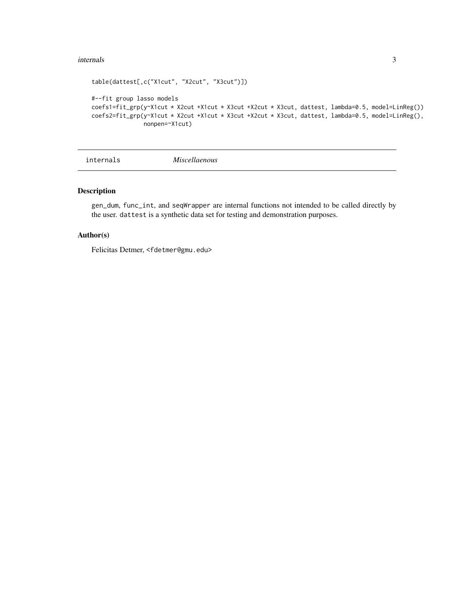#### <span id="page-2-0"></span>internals 3

```
table(dattest[,c("X1cut", "X2cut", "X3cut")])
#--fit group lasso models
coefs1=fit_grp(y~X1cut * X2cut +X1cut * X3cut +X2cut * X3cut, dattest, lambda=0.5, model=LinReg())
coefs2=fit_grp(y~X1cut * X2cut +X1cut * X3cut +X2cut * X3cut, dattest, lambda=0.5, model=LinReg(),
               nonpen=~X1cut)
```
internals *Miscellaenous*

#### Description

gen\_dum, func\_int, and seqWrapper are internal functions not intended to be called directly by the user. dattest is a synthetic data set for testing and demonstration purposes.

#### Author(s)

Felicitas Detmer, <fdetmer@gmu.edu>